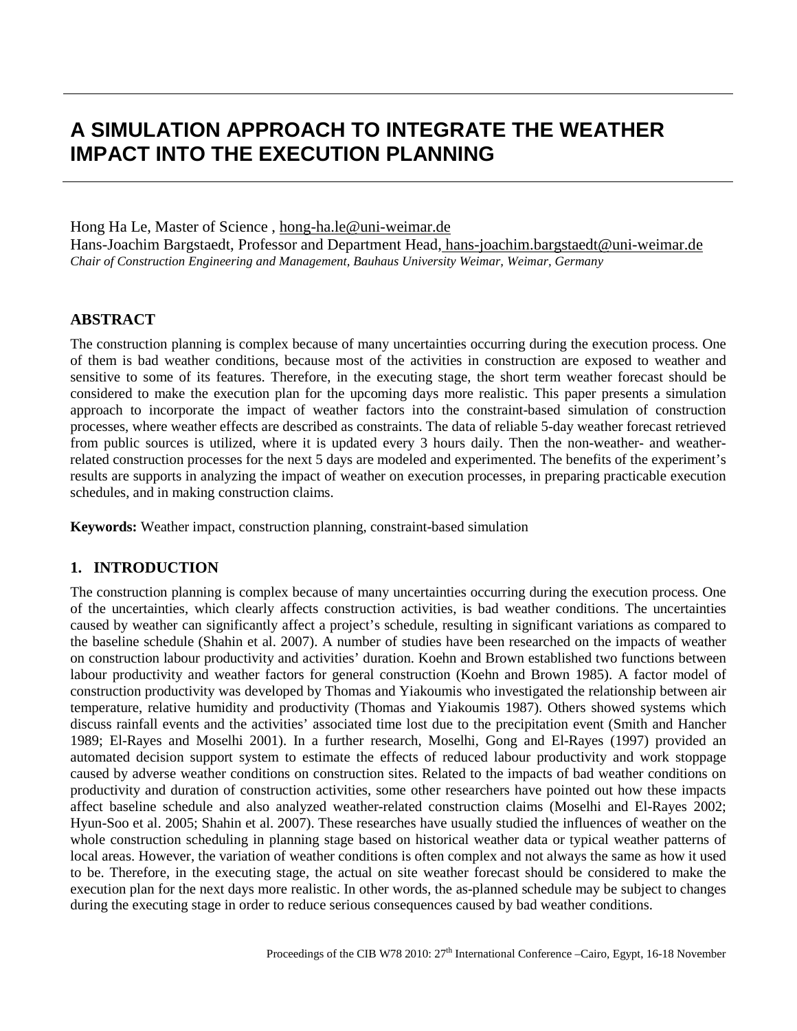# **A SIMULATION APPROACH TO INTEGRATE THE WEATHER IMPACT INTO THE EXECUTION PLANNING**

#### Hong Ha Le, Master of Science, hong-ha.le@uni-weimar.de

Hans-Joachim Bargstaedt, Professor and Department Head<u>, hans-joachim.bargstaedt@uni-weimar.de</u> *Chair of Construction Engineering and Management, Bauhaus University Weimar, Weimar, Germany*

## **ABSTRACT**

The construction planning is complex because of many uncertainties occurring during the execution process. One of them is bad weather conditions, because most of the activities in construction are exposed to weather and sensitive to some of its features. Therefore, in the executing stage, the short term weather forecast should be considered to make the execution plan for the upcoming days more realistic. This paper presents a simulation approach to incorporate the impact of weather factors into the constraint-based simulation of construction processes, where weather effects are described as constraints. The data of reliable 5-day weather forecast retrieved from public sources is utilized, where it is updated every 3 hours daily. Then the non-weather- and weatherrelated construction processes for the next 5 days are modeled and experimented. The benefits of the experiment's results are supports in analyzing the impact of weather on execution processes, in preparing practicable execution schedules, and in making construction claims.

**Keywords:** Weather impact, construction planning, constraint-based simulation

# **1. INTRODUCTION**

The construction planning is complex because of many uncertainties occurring during the execution process. One of the uncertainties, which clearly affects construction activities, is bad weather conditions. The uncertainties caused by weather can significantly affect a project's schedule, resulting in significant variations as compared to the baseline schedule (Shahin et al. 2007). A number of studies have been researched on the impacts of weather on construction labour productivity and activities' duration. Koehn and Brown established two functions between labour productivity and weather factors for general construction (Koehn and Brown 1985). A factor model of construction productivity was developed by Thomas and Yiakoumis who investigated the relationship between air temperature, relative humidity and productivity (Thomas and Yiakoumis 1987). Others showed systems which discuss rainfall events and the activities' associated time lost due to the precipitation event (Smith and Hancher 1989; El-Rayes and Moselhi 2001). In a further research, Moselhi, Gong and El-Rayes (1997) provided an automated decision support system to estimate the effects of reduced labour productivity and work stoppage caused by adverse weather conditions on construction sites. Related to the impacts of bad weather conditions on productivity and duration of construction activities, some other researchers have pointed out how these impacts affect baseline schedule and also analyzed weather-related construction claims (Moselhi and El-Rayes 2002; Hyun-Soo et al. 2005; Shahin et al. 2007). These researches have usually studied the influences of weather on the whole construction scheduling in planning stage based on historical weather data or typical weather patterns of local areas. However, the variation of weather conditions is often complex and not always the same as how it used to be. Therefore, in the executing stage, the actual on site weather forecast should be considered to make the execution plan for the next days more realistic. In other words, the as-planned schedule may be subject to changes during the executing stage in order to reduce serious consequences caused by bad weather conditions.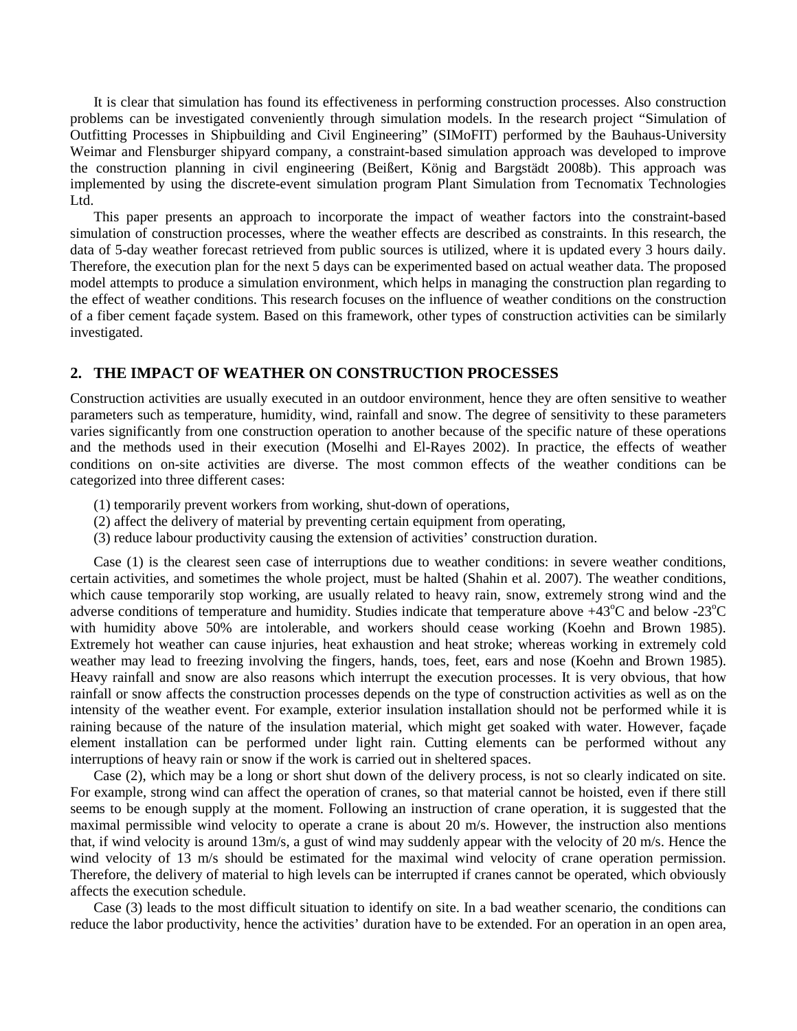It is clear that simulation has found its effectiveness in performing construction processes. Also construction problems can be investigated conveniently through simulation models. In the research project "Simulation of Outfitting Processes in Shipbuilding and Civil Engineering" (SIMoFIT) performed by the Bauhaus-University Weimar and Flensburger shipyard company, a constraint-based simulation approach was developed to improve the construction planning in civil engineering (Beißert, König and Bargstädt 2008b). This approach was implemented by using the discrete-event simulation program Plant Simulation from Tecnomatix Technologies L<sub>td</sub>

This paper presents an approach to incorporate the impact of weather factors into the constraint-based simulation of construction processes, where the weather effects are described as constraints. In this research, the data of 5-day weather forecast retrieved from public sources is utilized, where it is updated every 3 hours daily. Therefore, the execution plan for the next 5 days can be experimented based on actual weather data. The proposed model attempts to produce a simulation environment, which helps in managing the construction plan regarding to the effect of weather conditions. This research focuses on the influence of weather conditions on the construction of a fiber cement façade system. Based on this framework, other types of construction activities can be similarly investigated.

## **2. THE IMPACT OF WEATHER ON CONSTRUCTION PROCESSES**

Construction activities are usually executed in an outdoor environment, hence they are often sensitive to weather parameters such as temperature, humidity, wind, rainfall and snow. The degree of sensitivity to these parameters varies significantly from one construction operation to another because of the specific nature of these operations and the methods used in their execution (Moselhi and El-Rayes 2002). In practice, the effects of weather conditions on on-site activities are diverse. The most common effects of the weather conditions can be categorized into three different cases:

- (1) temporarily prevent workers from working, shut-down of operations,
- (2) affect the delivery of material by preventing certain equipment from operating,
- (3) reduce labour productivity causing the extension of activities' construction duration.

Case (1) is the clearest seen case of interruptions due to weather conditions: in severe weather conditions, certain activities, and sometimes the whole project, must be halted (Shahin et al. 2007). The weather conditions, which cause temporarily stop working, are usually related to heavy rain, snow, extremely strong wind and the adverse conditions of temperature and humidity. Studies indicate that temperature above +43°C and below -23°C with humidity above 50% are intolerable, and workers should cease working (Koehn and Brown 1985). Extremely hot weather can cause injuries, heat exhaustion and heat stroke; whereas working in extremely cold weather may lead to freezing involving the fingers, hands, toes, feet, ears and nose (Koehn and Brown 1985). Heavy rainfall and snow are also reasons which interrupt the execution processes. It is very obvious, that how rainfall or snow affects the construction processes depends on the type of construction activities as well as on the intensity of the weather event. For example, exterior insulation installation should not be performed while it is raining because of the nature of the insulation material, which might get soaked with water. However, façade element installation can be performed under light rain. Cutting elements can be performed without any interruptions of heavy rain or snow if the work is carried out in sheltered spaces.

Case (2), which may be a long or short shut down of the delivery process, is not so clearly indicated on site. For example, strong wind can affect the operation of cranes, so that material cannot be hoisted, even if there still seems to be enough supply at the moment. Following an instruction of crane operation, it is suggested that the maximal permissible wind velocity to operate a crane is about 20 m/s. However, the instruction also mentions that, if wind velocity is around 13m/s, a gust of wind may suddenly appear with the velocity of 20 m/s. Hence the wind velocity of 13 m/s should be estimated for the maximal wind velocity of crane operation permission. Therefore, the delivery of material to high levels can be interrupted if cranes cannot be operated, which obviously affects the execution schedule.

Case (3) leads to the most difficult situation to identify on site. In a bad weather scenario, the conditions can reduce the labor productivity, hence the activities' duration have to be extended. For an operation in an open area,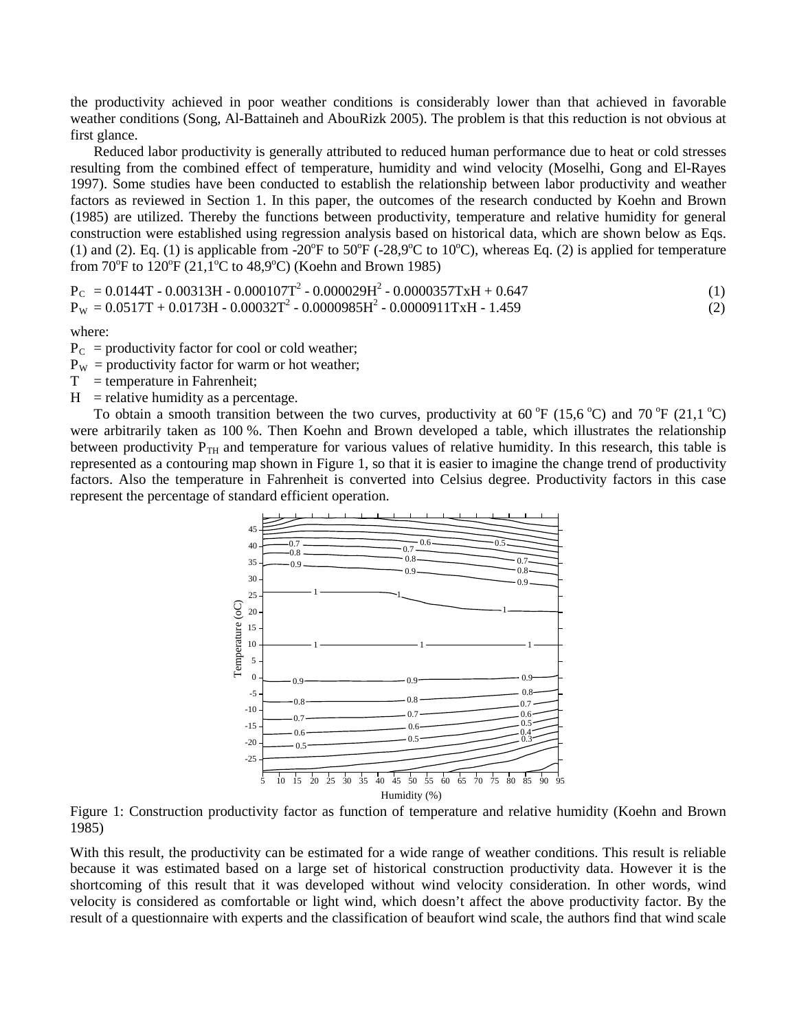the productivity achieved in poor weather conditions is considerably lower than that achieved in favorable weather conditions (Song, Al-Battaineh and AbouRizk 2005). The problem is that this reduction is not obvious at first glance.

Reduced labor productivity is generally attributed to reduced human performance due to heat or cold stresses resulting from the combined effect of temperature, humidity and wind velocity (Moselhi, Gong and El-Rayes 1997). Some studies have been conducted to establish the relationship between labor productivity and weather factors as reviewed in Section 1. In this paper, the outcomes of the research conducted by Koehn and Brown (1985) are utilized. Thereby the functions between productivity, temperature and relative humidity for general construction were established using regression analysis based on historical data, which are shown below as Eqs. (1) and (2). Eq. (1) is applicable from -20 $^{\circ}$ F to 50 $^{\circ}$ F (-28,9 $^{\circ}$ C to 10 $^{\circ}$ C), whereas Eq. (2) is applied for temperature from  $70^{\circ}$ F to  $120^{\circ}$ F (21,1<sup>o</sup>C to 48,9<sup>o</sup>C) (Koehn and Brown 1985)

$$
P_C = 0.0144T - 0.00313H - 0.000107T^2 - 0.000029H^2 - 0.0000357TxH + 0.647
$$
  
\n
$$
P_W = 0.0517T + 0.0173H - 0.00032T^2 - 0.0000985H^2 - 0.0000911TxH - 1.459
$$
\n(1)

where:

- $P_C$  = productivity factor for cool or cold weather;
- $P_{\rm w}$  = productivity factor for warm or hot weather;
- $T =$  temperature in Fahrenheit;
- $H$  = relative humidity as a percentage.

To obtain a smooth transition between the two curves, productivity at 60  $\rm{^{\circ}F}$  (15,6  $\rm{^{\circ}C}$ ) and 70  $\rm{^{\circ}F}$  (21,1  $\rm{^{\circ}C}$ ) were arbitrarily taken as 100 %. Then Koehn and Brown developed a table, which illustrates the relationship between productivity  $P_{TH}$  and temperature for various values of relative humidity. In this research, this table is represented as a contouring map shown in Figure 1, so that it is easier to imagine the change trend of productivity factors. Also the temperature in Fahrenheit is converted into Celsius degree. Productivity factors in this case represent the percentage of standard efficient operation.



Figure 1: Construction productivity factor as function of temperature and relative humidity (Koehn and Brown 1985)

With this result, the productivity can be estimated for a wide range of weather conditions. This result is reliable because it was estimated based on a large set of historical construction productivity data. However it is the shortcoming of this result that it was developed without wind velocity consideration. In other words, wind velocity is considered as comfortable or light wind, which doesn't affect the above productivity factor. By the result of a questionnaire with experts and the classification of beaufort wind scale, the authors find that wind scale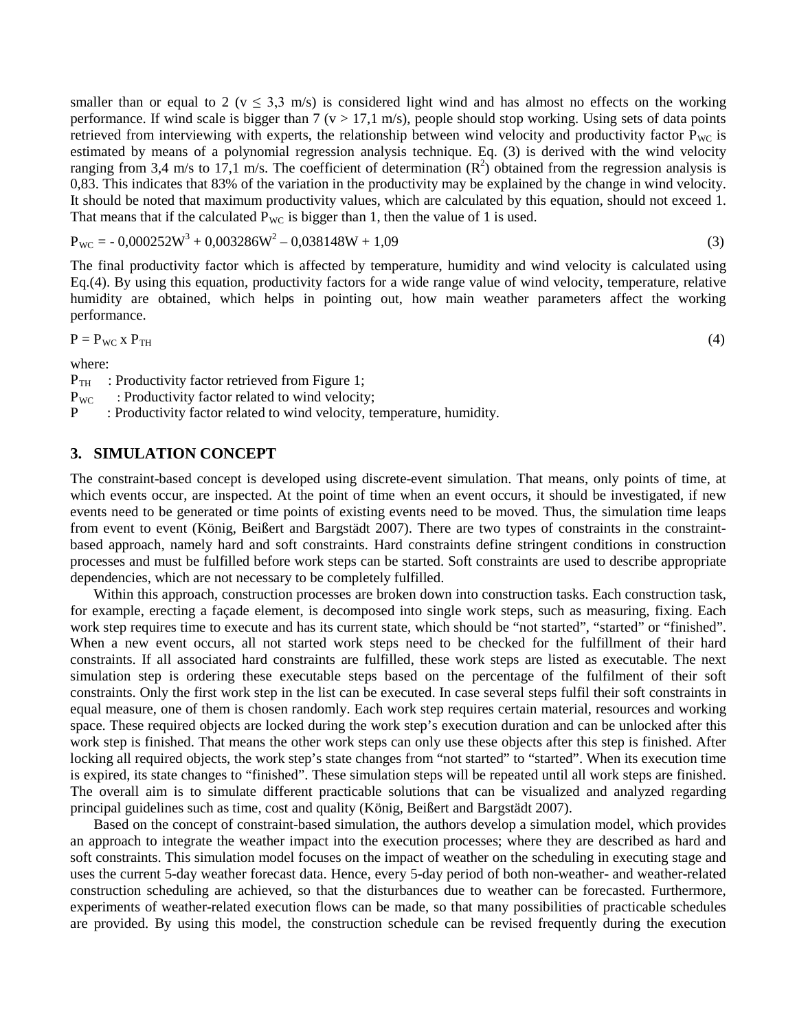smaller than or equal to 2 ( $v \le 3.3$  m/s) is considered light wind and has almost no effects on the working performance. If wind scale is bigger than  $7 (v > 17, 1 \text{ m/s})$ , people should stop working. Using sets of data points retrieved from interviewing with experts, the relationship between wind velocity and productivity factor  $P_{\text{WC}}$  is estimated by means of a polynomial regression analysis technique. Eq. (3) is derived with the wind velocity ranging from 3,4 m/s to 17,1 m/s. The coefficient of determination  $(R^2)$  obtained from the regression analysis is 0,83. This indicates that 83% of the variation in the productivity may be explained by the change in wind velocity. It should be noted that maximum productivity values, which are calculated by this equation, should not exceed 1. That means that if the calculated  $P_{\text{WC}}$  is bigger than 1, then the value of 1 is used.

$$
P_{\rm WC} = -0.000252W^3 + 0.003286W^2 - 0.038148W + 1.09\tag{3}
$$

The final productivity factor which is affected by temperature, humidity and wind velocity is calculated using Eq.(4). By using this equation, productivity factors for a wide range value of wind velocity, temperature, relative humidity are obtained, which helps in pointing out, how main weather parameters affect the working performance.

(4)

$$
P = P_{\text{WC}} \times P_{\text{TH}}
$$

where:

 $P_{TH}$  : Productivity factor retrieved from Figure 1;

P WC : Productivity factor related to wind velocity;

P : Productivity factor related to wind velocity, temperature, humidity.

## **3. SIMULATION CONCEPT**

The constraint-based concept is developed using discrete-event simulation. That means, only points of time, at which events occur, are inspected. At the point of time when an event occurs, it should be investigated, if new events need to be generated or time points of existing events need to be moved. Thus, the simulation time leaps from event to event (König, Beißert and Bargstädt 2007). There are two types of constraints in the constraintbased approach, namely hard and soft constraints. Hard constraints define stringent conditions in construction processes and must be fulfilled before work steps can be started. Soft constraints are used to describe appropriate dependencies, which are not necessary to be completely fulfilled.

Within this approach, construction processes are broken down into construction tasks. Each construction task, for example, erecting a façade element, is decomposed into single work steps, such as measuring, fixing. Each work step requires time to execute and has its current state, which should be "not started", "started" or "finished". When a new event occurs, all not started work steps need to be checked for the fulfillment of their hard constraints. If all associated hard constraints are fulfilled, these work steps are listed as executable. The next simulation step is ordering these executable steps based on the percentage of the fulfilment of their soft constraints. Only the first work step in the list can be executed. In case several steps fulfil their soft constraints in equal measure, one of them is chosen randomly. Each work step requires certain material, resources and working space. These required objects are locked during the work step's execution duration and can be unlocked after this work step is finished. That means the other work steps can only use these objects after this step is finished. After locking all required objects, the work step's state changes from "not started" to "started". When its execution time is expired, its state changes to "finished". These simulation steps will be repeated until all work steps are finished. The overall aim is to simulate different practicable solutions that can be visualized and analyzed regarding principal guidelines such as time, cost and quality (König, Beißert and Bargstädt 2007).

Based on the concept of constraint-based simulation, the authors develop a simulation model, which provides an approach to integrate the weather impact into the execution processes; where they are described as hard and soft constraints. This simulation model focuses on the impact of weather on the scheduling in executing stage and uses the current 5-day weather forecast data. Hence, every 5-day period of both non-weather- and weather-related construction scheduling are achieved, so that the disturbances due to weather can be forecasted. Furthermore, experiments of weather-related execution flows can be made, so that many possibilities of practicable schedules are provided. By using this model, the construction schedule can be revised frequently during the execution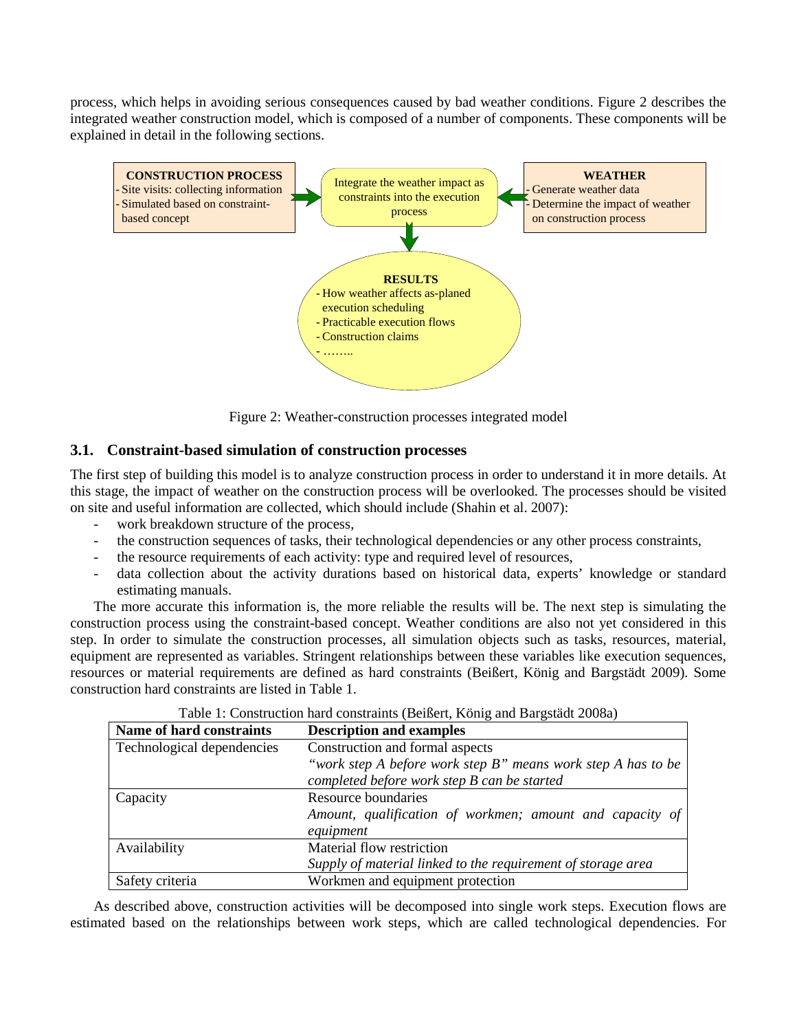process, which helps in avoiding serious consequences caused by bad weather conditions. Figure 2 describes the integrated weather construction model, which is composed of a number of components. These components will be explained in detail in the following sections.



Figure 2: Weather-construction processes integrated model

## **3.1. Constraint-based simulation of construction processes**

The first step of building this model is to analyze construction process in order to understand it in more details. At this stage, the impact of weather on the construction process will be overlooked. The processes should be visited on site and useful information are collected, which should include (Shahin et al. 2007):

- work breakdown structure of the process,
- the construction sequences of tasks, their technological dependencies or any other process constraints,
- the resource requirements of each activity: type and required level of resources,
- data collection about the activity durations based on historical data, experts' knowledge or standard estimating manuals.

The more accurate this information is, the more reliable the results will be. The next step is simulating the construction process using the constraint-based concept. Weather conditions are also not yet considered in this step. In order to simulate the construction processes, all simulation objects such as tasks, resources, material, equipment are represented as variables. Stringent relationships between these variables like execution sequences, resources or material requirements are defined as hard constraints (Beißert, König and Bargstädt 2009). Some construction hard constraints are listed in Table 1.

| Name of hard constraints   | <b>Description and examples</b>                              |  |  |
|----------------------------|--------------------------------------------------------------|--|--|
| Technological dependencies | Construction and formal aspects                              |  |  |
|                            | "work step A before work step B" means work step A has to be |  |  |
|                            | completed before work step B can be started                  |  |  |
| Capacity                   | Resource boundaries                                          |  |  |
|                            | Amount, qualification of workmen; amount and capacity of     |  |  |
|                            | equipment                                                    |  |  |
| Availability               | Material flow restriction                                    |  |  |
|                            | Supply of material linked to the requirement of storage area |  |  |
| Safety criteria            | Workmen and equipment protection                             |  |  |

|  | Table 1: Construction hard constraints (Beißert, König and Bargstädt 2008a) |
|--|-----------------------------------------------------------------------------|
|  |                                                                             |

As described above, construction activities will be decomposed into single work steps. Execution flows are estimated based on the relationships between work steps, which are called technological dependencies. For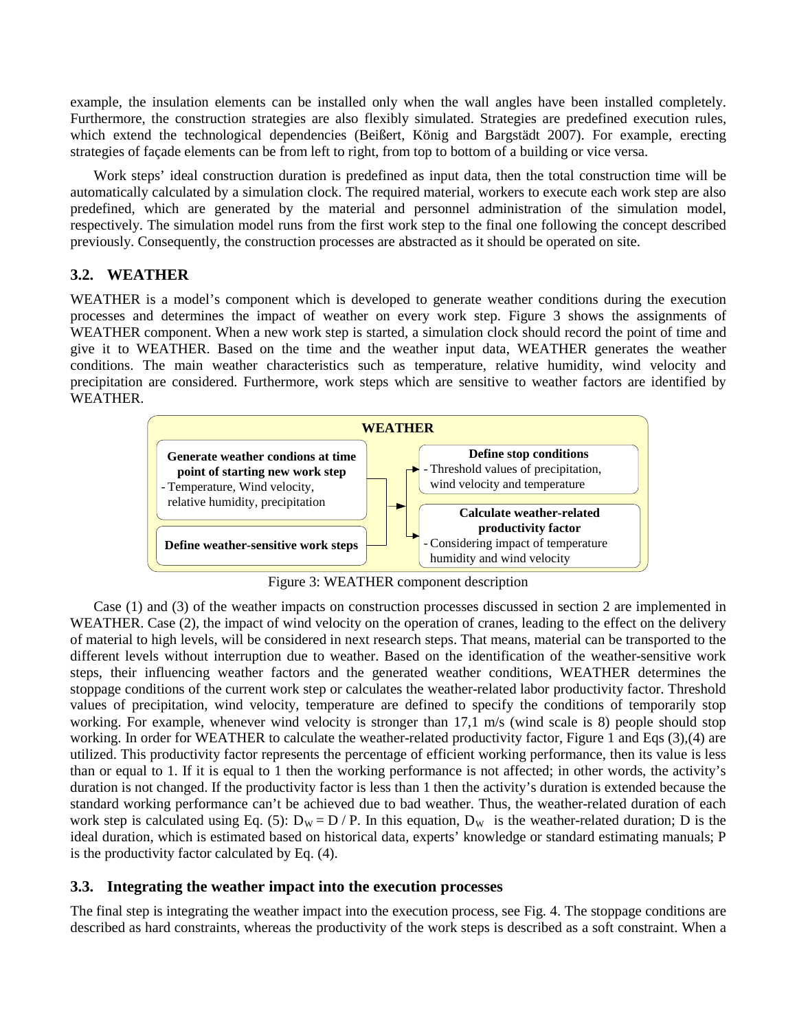example, the insulation elements can be installed only when the wall angles have been installed completely. Furthermore, the construction strategies are also flexibly simulated. Strategies are predefined execution rules, which extend the technological dependencies (Beißert, König and Bargstädt 2007). For example, erecting strategies of façade elements can be from left to right, from top to bottom of a building or vice versa.

Work steps' ideal construction duration is predefined as input data, then the total construction time will be automatically calculated by a simulation clock. The required material, workers to execute each work step are also predefined, which are generated by the material and personnel administration of the simulation model, respectively. The simulation model runs from the first work step to the final one following the concept described previously. Consequently, the construction processes are abstracted as it should be operated on site.

# **3.2. WEATHER**

WEATHER is a model's component which is developed to generate weather conditions during the execution processes and determines the impact of weather on every work step. Figure 3 shows the assignments of WEATHER component. When a new work step is started, a simulation clock should record the point of time and give it to WEATHER. Based on the time and the weather input data, WEATHER generates the weather conditions. The main weather characteristics such as temperature, relative humidity, wind velocity and precipitation are considered. Furthermore, work steps which are sensitive to weather factors are identified by WEATHER.



Figure 3: WEATHER component description

Case (1) and (3) of the weather impacts on construction processes discussed in section 2 are implemented in WEATHER. Case (2), the impact of wind velocity on the operation of cranes, leading to the effect on the delivery of material to high levels, will be considered in next research steps. That means, material can be transported to the different levels without interruption due to weather. Based on the identification of the weather-sensitive work steps, their influencing weather factors and the generated weather conditions, WEATHER determines the stoppage conditions of the current work step or calculates the weather-related labor productivity factor. Threshold values of precipitation, wind velocity, temperature are defined to specify the conditions of temporarily stop working. For example, whenever wind velocity is stronger than 17,1 m/s (wind scale is 8) people should stop working. In order for WEATHER to calculate the weather-related productivity factor, Figure 1 and Eqs (3),(4) are utilized. This productivity factor represents the percentage of efficient working performance, then its value is less than or equal to 1. If it is equal to 1 then the working performance is not affected; in other words, the activity's duration is not changed. If the productivity factor is less than 1 then the activity's duration is extended because the standard working performance can't be achieved due to bad weather. Thus, the weather-related duration of each work step is calculated using Eq. (5):  $D_w = D / P$ . In this equation,  $D_w$  is the weather-related duration; D is the ideal duration, which is estimated based on historical data, experts' knowledge or standard estimating manuals; P is the productivity factor calculated by Eq. (4).

#### **3.3. Integrating the weather impact into the execution processes**

The final step is integrating the weather impact into the execution process, see Fig. 4. The stoppage conditions are described as hard constraints, whereas the productivity of the work steps is described as a soft constraint. When a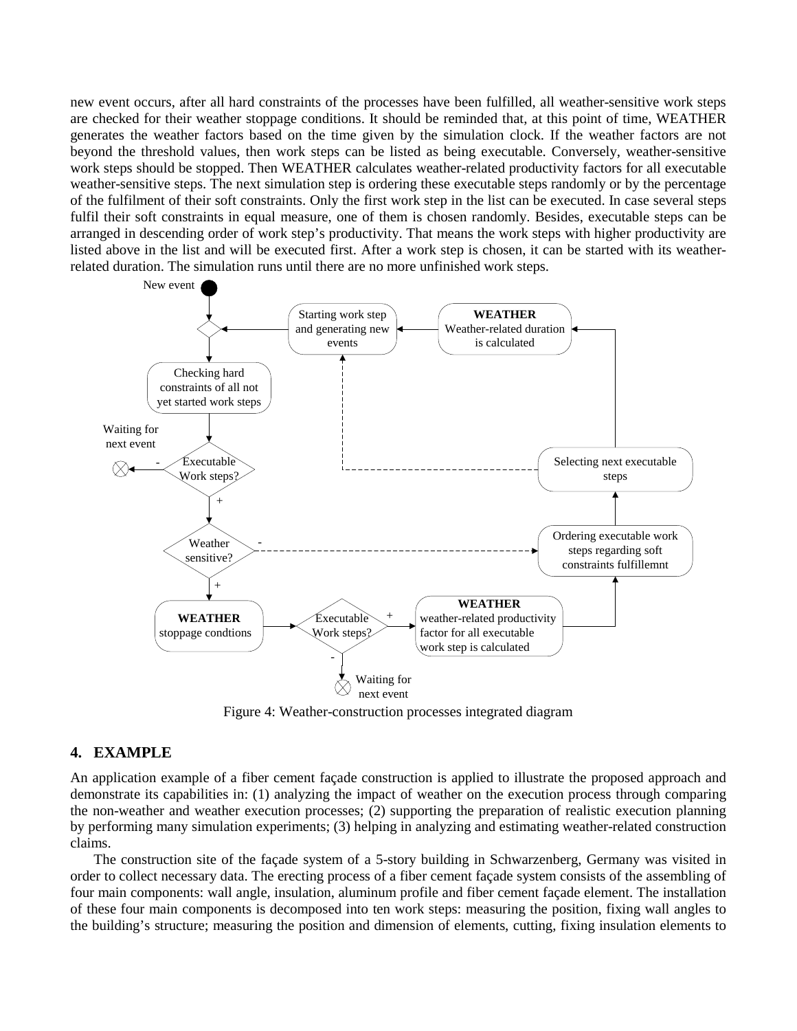new event occurs, after all hard constraints of the processes have been fulfilled, all weather-sensitive work steps are checked for their weather stoppage conditions. It should be reminded that, at this point of time, WEATHER generates the weather factors based on the time given by the simulation clock. If the weather factors are not beyond the threshold values, then work steps can be listed as being executable. Conversely, weather-sensitive work steps should be stopped. Then WEATHER calculates weather-related productivity factors for all executable weather-sensitive steps. The next simulation step is ordering these executable steps randomly or by the percentage of the fulfilment of their soft constraints. Only the first work step in the list can be executed. In case several steps fulfil their soft constraints in equal measure, one of them is chosen randomly. Besides, executable steps can be arranged in descending order of work step's productivity. That means the work steps with higher productivity are listed above in the list and will be executed first. After a work step is chosen, it can be started with its weatherrelated duration. The simulation runs until there are no more unfinished work steps.



Figure 4: Weather-construction processes integrated diagram

# **4. EXAMPLE**

An application example of a fiber cement façade construction is applied to illustrate the proposed approach and demonstrate its capabilities in: (1) analyzing the impact of weather on the execution process through comparing the non-weather and weather execution processes; (2) supporting the preparation of realistic execution planning by performing many simulation experiments; (3) helping in analyzing and estimating weather-related construction claims.

The construction site of the façade system of a 5-story building in Schwarzenberg, Germany was visited in order to collect necessary data. The erecting process of a fiber cement façade system consists of the assembling of four main components: wall angle, insulation, aluminum profile and fiber cement façade element. The installation of these four main components is decomposed into ten work steps: measuring the position, fixing wall angles to the building's structure; measuring the position and dimension of elements, cutting, fixing insulation elements to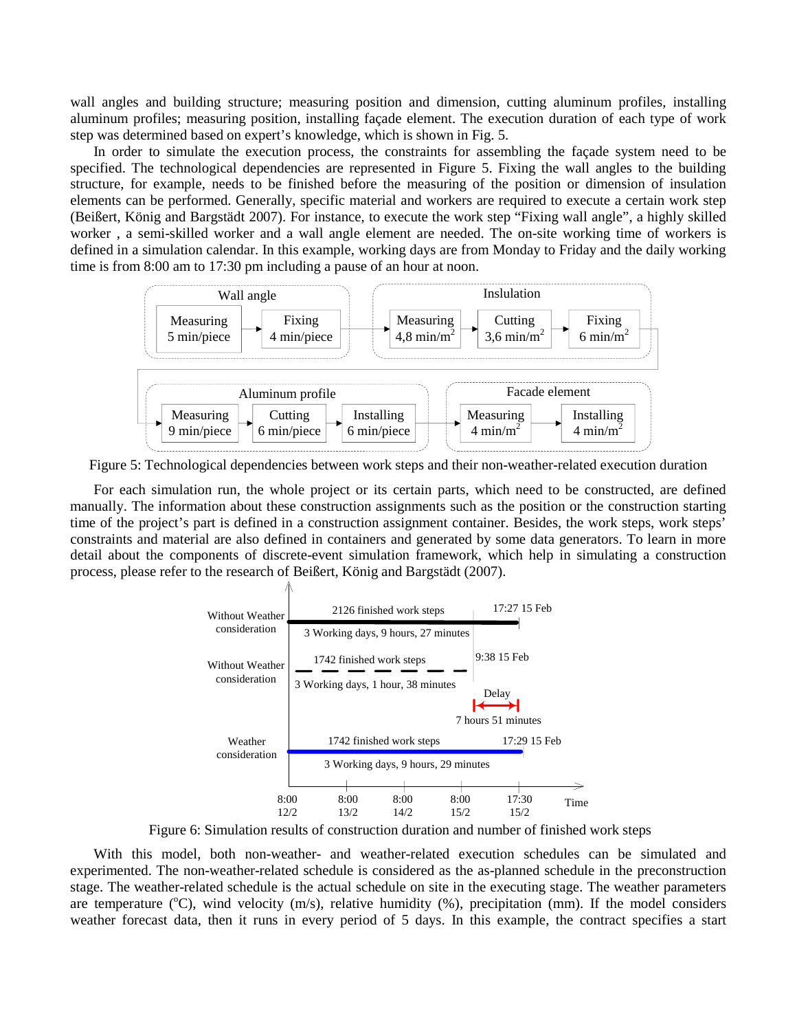wall angles and building structure; measuring position and dimension, cutting aluminum profiles, installing aluminum profiles; measuring position, installing façade element. The execution duration of each type of work step was determined based on expert's knowledge, which is shown in Fig. 5.

In order to simulate the execution process, the constraints for assembling the façade system need to be specified. The technological dependencies are represented in Figure 5. Fixing the wall angles to the building structure, for example, needs to be finished before the measuring of the position or dimension of insulation elements can be performed. Generally, specific material and workers are required to execute a certain work step (Beißert, König and Bargstädt 2007). For instance, to execute the work step "Fixing wall angle", a highly skilled worker , a semi-skilled worker and a wall angle element are needed. The on-site working time of workers is defined in a simulation calendar. In this example, working days are from Monday to Friday and the daily working time is from 8:00 am to 17:30 pm including a pause of an hour at noon.



Figure 5: Technological dependencies between work steps and their non-weather-related execution duration

For each simulation run, the whole project or its certain parts, which need to be constructed, are defined manually. The information about these construction assignments such as the position or the construction starting time of the project's part is defined in a construction assignment container. Besides, the work steps, work steps' constraints and material are also defined in containers and generated by some data generators. To learn in more detail about the components of discrete-event simulation framework, which help in simulating a construction process, please refer to the research of Beißert, König and Bargstädt (2007).



Figure 6: Simulation results of construction duration and number of finished work steps

With this model, both non-weather- and weather-related execution schedules can be simulated and experimented. The non-weather-related schedule is considered as the as-planned schedule in the preconstruction stage. The weather-related schedule is the actual schedule on site in the executing stage. The weather parameters are temperature  $({}^{\circ}C)$ , wind velocity  $(m/s)$ , relative humidity  $(%)$ , precipitation (mm). If the model considers weather forecast data, then it runs in every period of 5 days. In this example, the contract specifies a start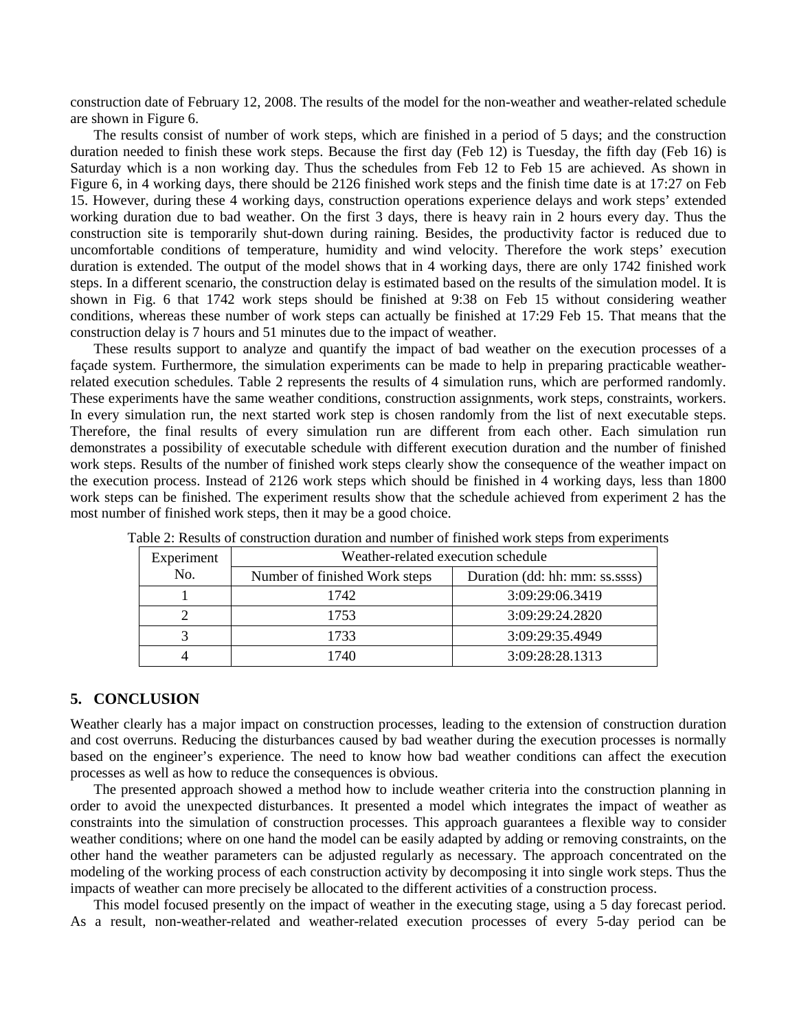construction date of February 12, 2008. The results of the model for the non-weather and weather-related schedule are shown in Figure 6.

The results consist of number of work steps, which are finished in a period of 5 days; and the construction duration needed to finish these work steps. Because the first day (Feb 12) is Tuesday, the fifth day (Feb 16) is Saturday which is a non working day. Thus the schedules from Feb 12 to Feb 15 are achieved. As shown in Figure 6, in 4 working days, there should be 2126 finished work steps and the finish time date is at 17:27 on Feb 15. However, during these 4 working days, construction operations experience delays and work steps' extended working duration due to bad weather. On the first 3 days, there is heavy rain in 2 hours every day. Thus the construction site is temporarily shut-down during raining. Besides, the productivity factor is reduced due to uncomfortable conditions of temperature, humidity and wind velocity. Therefore the work steps' execution duration is extended. The output of the model shows that in 4 working days, there are only 1742 finished work steps. In a different scenario, the construction delay is estimated based on the results of the simulation model. It is shown in Fig. 6 that 1742 work steps should be finished at 9:38 on Feb 15 without considering weather conditions, whereas these number of work steps can actually be finished at 17:29 Feb 15. That means that the construction delay is 7 hours and 51 minutes due to the impact of weather.

These results support to analyze and quantify the impact of bad weather on the execution processes of a façade system. Furthermore, the simulation experiments can be made to help in preparing practicable weatherrelated execution schedules. Table 2 represents the results of 4 simulation runs, which are performed randomly. These experiments have the same weather conditions, construction assignments, work steps, constraints, workers. In every simulation run, the next started work step is chosen randomly from the list of next executable steps. Therefore, the final results of every simulation run are different from each other. Each simulation run demonstrates a possibility of executable schedule with different execution duration and the number of finished work steps. Results of the number of finished work steps clearly show the consequence of the weather impact on the execution process. Instead of 2126 work steps which should be finished in 4 working days, less than 1800 work steps can be finished. The experiment results show that the schedule achieved from experiment 2 has the most number of finished work steps, then it may be a good choice.

| Experiment | Weather-related execution schedule |                                |  |
|------------|------------------------------------|--------------------------------|--|
| No.        | Number of finished Work steps      | Duration (dd: hh: mm: ss.ssss) |  |
|            | 1742                               | 3:09:29:06.3419                |  |
|            | 1753                               | 3:09:29:24.2820                |  |
|            | 1733                               | 3:09:29:35.4949                |  |
|            | 1740                               | 3:09:28:28.1313                |  |

Table 2: Results of construction duration and number of finished work steps from experiments

#### **5. CONCLUSION**

Weather clearly has a major impact on construction processes, leading to the extension of construction duration and cost overruns. Reducing the disturbances caused by bad weather during the execution processes is normally based on the engineer's experience. The need to know how bad weather conditions can affect the execution processes as well as how to reduce the consequences is obvious.

The presented approach showed a method how to include weather criteria into the construction planning in order to avoid the unexpected disturbances. It presented a model which integrates the impact of weather as constraints into the simulation of construction processes. This approach guarantees a flexible way to consider weather conditions; where on one hand the model can be easily adapted by adding or removing constraints, on the other hand the weather parameters can be adjusted regularly as necessary. The approach concentrated on the modeling of the working process of each construction activity by decomposing it into single work steps. Thus the impacts of weather can more precisely be allocated to the different activities of a construction process.

This model focused presently on the impact of weather in the executing stage, using a 5 day forecast period. As a result, non-weather-related and weather-related execution processes of every 5-day period can be